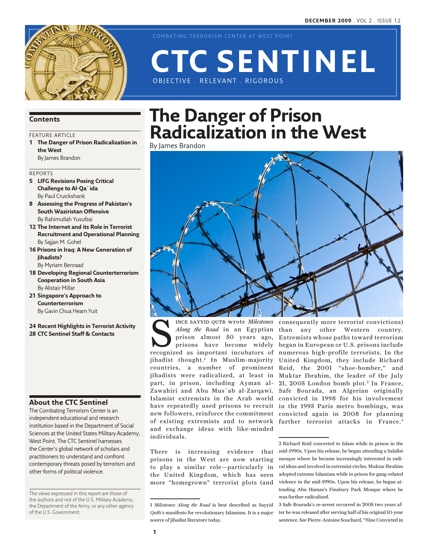

COMBATING TERRORISM CENTER AT WEST POINT

# OBJECTIVE . RELEVANT . RIGOROUS **CTC Sentinel**

#### **Contents**

#### FEATURE ARTICLE

**1 The Danger of Prison Radicalization in the West** By James Brandon

#### Reports

- **5 LIFG Revisions Posing Critical Challenge to Al-Qa`ida** By Paul Cruickshank
- **8 Assessing the Progress of Pakistan's South Waziristan Offensive** By Rahimullah Yusufzai
- **12 The Internet and its Role in Terrorist Recruitment and Operational Planning** By Sajjan M. Gohel
- **16 Prisons in Iraq: A New Generation of Jihadists?** By Myriam Benraad
- **18 Developing Regional Counterterrorism Cooperation in South Asia** By Alistair Millar
- **21 Singapore's Approach to Counterterrorism** By Gavin Chua Hearn Yuit
- **24 Recent Highlights in Terrorist Activity 28 CTC Sentinel Staff & Contacts**

#### **About the CTC Sentinel**

The Combating Terrorism Center is an independent educational and research institution based in the Department of Social Sciences at the United States Military Academy, West Point. The CTC Sentinel harnesses the Center's global network of scholars and practitioners to understand and confront contemporary threats posed by terrorism and other forms of political violence.

The views expressed in this report are those of the authors and not of the U.S. Military Academy, the Department of the Army, or any other agency of the U.S. Government.

# **The Danger of Prison Radicalization in the West**

By James Brandon



NET SAYYID QUTB Wrote *Milestones*<br> *Along the Road* in an Egyptian<br>
prison almost 50 years ago,<br>
prisons have become widely<br>
recognized as important incubators of prison almost 50 years ago, prisons have become widely jihadist thought.1 In Muslim-majority countries, a number of prominent jihadists were radicalized, at least in part, in prison, including Ayman al-Zawahiri and Abu Mus`ab al-Zarqawi. Islamist extremists in the Arab world new followers, reinforce the commitment of existing extremists and to network and exchange ideas with like-minded individuals. INCE SAYYID QUTB wrote *Milestones* consequently more terrorist convictions)

There is increasing evidence that prisons in the West are now starting to play a similar role—particularly in the United Kingdom, which has seen more "homegrown" terrorist plots (and

Along the Road in an Egyptian than any other Western country. have repeatedly used prisons to recruit in the 1995 Paris metro bombings, was Extremists whose paths toward terrorism began in European or U.S. prisons include numerous high-profile terrorists. In the United Kingdom, they include Richard Reid, the 2001 "shoe-bomber," and Muktar Ibrahim, the leader of the July 21, 2005 London bomb plot.<sup>2</sup> In France, Safe Bourada, an Algerian originally convicted in 1998 for his involvement convicted again in 2008 for planning further terrorist attacks in France.<sup>3</sup>

> 2 Richard Reid converted to Islam while in prison in the mid-1990s. Upon his release, he began attending a Salafist mosque where he became increasingly interested in radical ideas and involved in extremist circles. Muktar Ibrahim adopted extreme Islamism while in prison for gang-related violence in the mid-1990s. Upon his release, he began attending Abu Hamza's Finsbury Park Mosque where he was further radicalized.

> 3 Safe Bourada's re-arrest occurred in 2005 two years after he was released after serving half of his original 10-year sentence. See Pierre-Antoine Souchard, "Nine Convicted in

<sup>1</sup> *Milestones Along the Road* is best described as Sayyid Qutb's manifesto for revolutionary Islamism. It is a major source of jihadist literature today.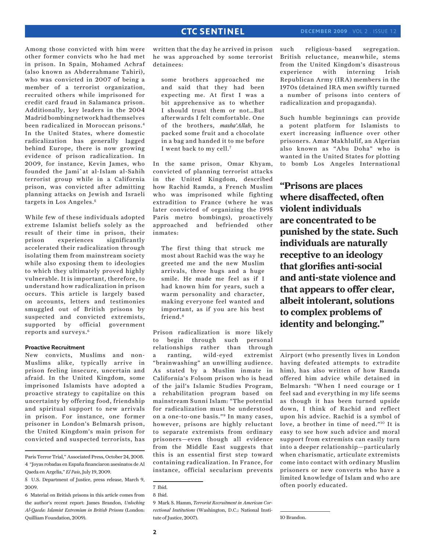### **CTC SENTINEL**

Among those convicted with him were other former convicts who he had met in prison. In Spain, Mohamed Achraf (also known as Abderrahmane Tahiri), who was convicted in 2007 of being a member of a terrorist organization, recruited others while imprisoned for credit card fraud in Salamanca prison. Additionally, key leaders in the 2004 Madrid bombing network had themselves been radicalized in Moroccan prisons.4 In the United States, where domestic radicalization has generally lagged behind Europe, there is now growing evidence of prison radicalization. In 2009, for instance, Kevin James, who founded the Jami`at al-Islam al-Sahih terrorist group while in a California prison, was convicted after admitting planning attacks on Jewish and Israeli targets in Los Angeles. <sup>5</sup>

While few of these individuals adopted extreme Islamist beliefs solely as the result of their time in prison, their prison experiences significantly accelerated their radicalization through isolating them from mainstream society while also exposing them to ideologies to which they ultimately proved highly vulnerable. It is important, therefore, to understand how radicalization in prison occurs. This article is largely based on accounts, letters and testimonies smuggled out of British prisons by suspected and convicted extremists, supported by official government reports and surveys.6

#### **Proactive Recruitment**

New convicts, Muslims and non-Muslims alike, typically arrive in prison feeling insecure, uncertain and afraid. In the United Kingdom, some imprisoned Islamists have adopted a proactive strategy to capitalize on this uncertainty by offering food, friendship and spiritual support to new arrivals in prison. For instance, one former prisoner in London's Belmarsh prison, the United Kingdom's main prison for convicted and suspected terrorists, has

Paris Terror Trial," Associated Press, October 24, 2008. 4 "Joyas robadas en España financiaron asesinatos de Al Qaeda en Argelia," *El Pais*, July 19, 2009.

6 Material on British prisons in this article comes from the author's recent report: James Brandon, *Unlocking Al-Qaeda: Islamist Extremism in British Prisons* (London: Quilliam Foundation, 2009).

written that the day he arrived in prison he was approached by some terrorist detainees:

some brothers approached me and said that they had been expecting me. At first I was a bit apprehensive as to whether I should trust them or not…But afterwards I felt comfortable. One of the brothers, *masha'Allah*, he packed some fruit and a chocolate in a bag and handed it to me before I went back to my cell.7

In the same prison, Omar Khyam, convicted of planning terrorist attacks in the United Kingdom, described how Rachid Ramda, a French Muslim who was imprisoned while fighting extradition to France (where he was later convicted of organizing the 1995 Paris metro bombings), proactively approached and befriended other inmates:

The first thing that struck me most about Rachid was the way he greeted me and the new Muslim arrivals, three hugs and a huge smile. He made me feel as if I had known him for years, such a warm personality and character, making everyone feel wanted and important, as if you are his best friend.8

Prison radicalization is more likely to begin through such personal relationships rather than through a ranting, wild-eyed extremist "brainwashing" an unwilling audience. As stated by a Muslim inmate in California's Folsom prison who is head of the jail's Islamic Studies Program, a rehabilitation program based on mainstream Sunni Islam: "The potential for radicalization must be understood on a one-to-one basis."9 In many cases, however, prisons are highly reluctant to separate extremists from ordinary prisoners—even though all evidence from the Middle East suggests that this is an essential first step toward containing radicalization. In France, for instance, official secularism prevents

such religious-based segregation. British reluctance, meanwhile, stems from the United Kingdom's disastrous experience with interning Irish Republican Army (IRA) members in the 1970s (detained IRA men swiftly turned a number of prisons into centers of radicalization and propaganda).

Such humble beginnings can provide a potent platform for Islamists to exert increasing influence over other prisoners. Amar Makhlulif, an Algerian also known as "Abu Doha" who is wanted in the United States for plotting to bomb Los Angeles International

**"Prisons are places where disaffected, often violent individuals are concentrated to be punished by the state. Such individuals are naturally receptive to an ideology that glorifies anti-social and anti-state violence and that appears to offer clear, albeit intolerant, solutions to complex problems of identity and belonging."**

Airport (who presently lives in London having defeated attempts to extradite him), has also written of how Ramda offered him advice while detained in Belmarsh: "When I need courage or I feel sad and everything in my life seems as though it has been turned upside down, I think of Rachid and reflect upon his advice. Rachid is a symbol of love, a brother in time of need."10 It is easy to see how such advice and moral support from extremists can easily turn into a deeper relationship—particularly when charismatic, articulate extremists come into contact with ordinary Muslim prisoners or new converts who have a limited knowledge of Islam and who are often poorly educated.

10 Brandon.

<sup>5</sup> U.S. Department of Justice, press release, March 9, 2009.

<sup>7</sup> Ibid.

<sup>8</sup> Ibid.

<sup>9</sup> Mark S. Hamm, *Terrorist Recruitment in American Correctional Institutions* (Washington, D.C.: National Institute of Justice, 2007).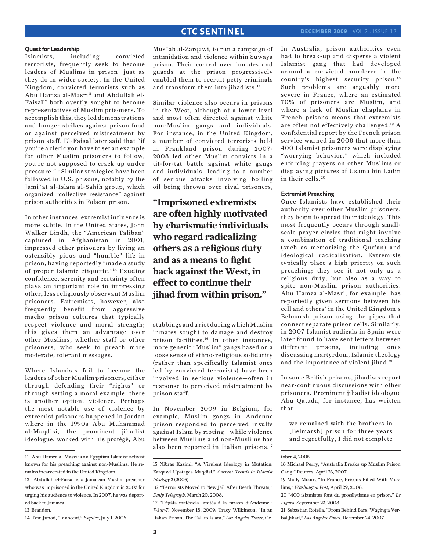# **CTC SENTINEL**

#### **Quest for Leadership**

Islamists, including convicted terrorists, frequently seek to become leaders of Muslims in prison—just as they do in wider society. In the United Kingdom, convicted terrorists such as Abu Hamza al-Masri<sup>11</sup> and Abdullah el-Faisal<sup>12</sup> both overtly sought to become representatives of Muslim prisoners. To accomplish this, they led demonstrations and hunger strikes against prison food or against perceived mistreatment by prison staff. El-Faisal later said that "if you're a cleric you have to set an example for other Muslim prisoners to follow, you're not supposed to crack up under pressure."13 Similar strategies have been followed in U.S. prisons, notably by the Jami`at al-Islam al-Sahih group, which organized "collective resistance" against prison authorities in Folsom prison.

In other instances, extremist influence is more subtle. In the United States, John Walker Lindh, the "American Taliban" captured in Afghanistan in 2001, impressed other prisoners by living an ostensibly pious and "humble" life in prison, having reportedly "made a study of proper Islamic etiquette."14 Exuding confidence, serenity and certainty often plays an important role in impressing other, less religiously observant Muslim prisoners. Extremists, however, also frequently benefit from aggressive macho prison cultures that typically respect violence and moral strength; this gives them an advantage over other Muslims, whether staff or other prisoners, who seek to preach more moderate, tolerant messages.

Where Islamists fail to become the leaders of other Muslim prisoners, either through defending their "rights" or through setting a moral example, there is another option: violence. Perhaps the most notable use of violence by extremist prisoners happened in Jordan where in the 1990s Abu Muhammad al-Maqdisi, the prominent jihadist ideologue, worked with his protégé, Abu

Mus`ab al-Zarqawi, to run a campaign of intimidation and violence within Suwaya prison. Their control over inmates and guards at the prison progressively enabled them to recruit petty criminals and transform them into jihadists.15

Similar violence also occurs in prisons in the West, although at a lower level and most often directed against white non-Muslim gangs and individuals. For instance, in the United Kingdom, a number of convicted terrorists held in Frankland prison during 2007- 2008 led other Muslim convicts in a tit-for-tat battle against white gangs and individuals, leading to a number of serious attacks involving boiling oil being thrown over rival prisoners,

**"Imprisoned extremists are often highly motivated by charismatic individuals who regard radicalizing others as a religious duty and as a means to fight back against the West, in effect to continue their jihad from within prison."**

stabbings and a riot during which Muslim inmates sought to damage and destroy prison facilities.16 In other instances, more generic "Muslim" gangs based on a loose sense of ethno-religious solidarity (rather than specifically Islamist ones led by convicted terrorists) have been involved in serious violence—often in response to perceived mistreatment by prison staff.

In November 2009 in Belgium, for example, Muslim gangs in Andenne prison responded to perceived insults against Islam by rioting—while violence between Muslims and non-Muslims has also been reported in Italian prisons.<sup>17</sup>

17 "Dégâts matériels limités à la prison d'Andenne," *7-Sur-7*, November 18, 2009; Tracy Wilkinson, "In an Italian Prison, The Call to Islam," *Los Angeles Times*, OcIn Australia, prison authorities even had to break-up and disperse a violent Islamist gang that had developed around a convicted murderer in the country's highest security prison.18 Such problems are arguably more severe in France, where an estimated 70% of prisoners are Muslim, and where a lack of Muslim chaplains in French prisons means that extremists are often not effectively challenged.19 A confidential report by the French prison service warned in 2008 that more than 400 Islamist prisoners were displaying "worrying behavior," which included enforcing prayers on other Muslims or displaying pictures of Usama bin Ladin in their cells. <sup>20</sup>

#### **Extremist Preaching**

Once Islamists have established their authority over other Muslim prisoners, they begin to spread their ideology. This most frequently occurs through smallscale prayer circles that might involve a combination of traditional teaching (such as memorizing the Qur'an) and ideological radicalization. Extremists typically place a high priority on such preaching; they see it not only as a religious duty, but also as a way to spite non-Muslim prison authorities. Abu Hamza al-Masri, for example, has reportedly given sermons between his cell and others' in the United Kingdom's Belmarsh prison using the pipes that connect separate prison cells. Similarly, in 2007 Islamist radicals in Spain were later found to have sent letters between different prisons, including ones discussing martyrdom, Islamic theology and the importance of violent jihad.<sup>21</sup>

In some British prisons, jihadists report near-continuous discussions with other prisoners. Prominent jihadist ideologue Abu Qatada, for instance, has written that

we remained with the brothers in [Belmarsh] prison for three years and regretfully, I did not complete

20 "400 islamistes font du prosélytisme en prison," *Le Figaro*, September 23, 2008.

<sup>11</sup> Abu Hamza al-Masri is an Egyptian Islamist activist known for his preaching against non-Muslims. He remains incarcerated in the United Kingdom.

<sup>12</sup> Abdullah el-Faisal is a Jamaican Muslim preacher who was imprisoned in the United Kingdom in 2003 for urging his audience to violence. In 2007, he was deported back to Jamaica.

<sup>13</sup> Brandon.

<sup>14</sup> Tom Junod, "Innocent," *Esquire*, July 1, 2006.

<sup>15</sup> Nibras Kazimi, "A Virulent Ideology in Mutation: Zarqawi Upstages Maqdisi," *Current Trends in Islamist Ideology* 2 (2005).

<sup>16 &</sup>quot;Terrorists Moved to New Jail After Death Threats," *Daily Telegraph*, March 20, 2008.

tober 4, 2005.

<sup>18</sup> Michael Perry, "Australia Breaks up Muslim Prison Gang," Reuters, April 23, 2007.

<sup>19</sup> Molly Moore, "In France, Prisons Filled With Muslims," *Washington Post*, April 29, 2008.

<sup>21</sup> Sebastian Rotella, "From Behind Bars, Waging a Verbal Jihad," *Los Angeles Times*, December 24, 2007.